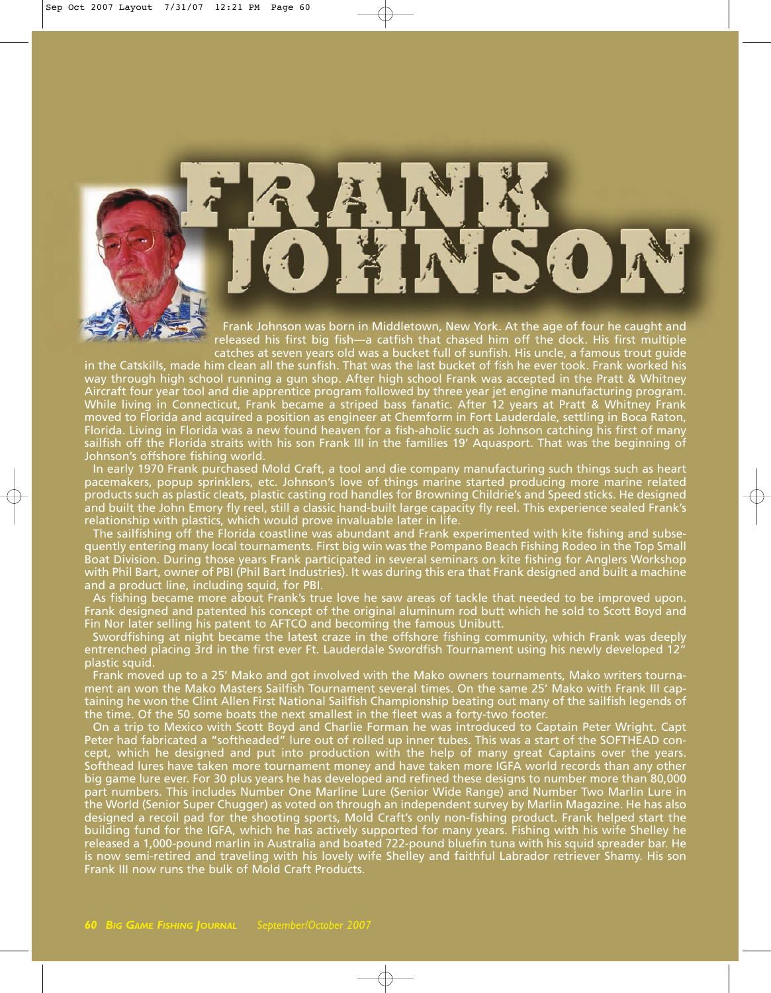

Frank Johnson was born in Middletown, New York. At the age of four he caught and released his first big fish—a catfish that chased him off the dock. His first multiple catches at seven years old was a bucket full of sunfish. His uncle, a famous trout guide

in the Catskills, made him clean all the sunfish. That was the last bucket of fish he ever took. Frank worked his way through high school running a gun shop. After high school Frank was accepted in the Pratt & Whitney Aircraft four year tool and die apprentice program followed by three year jet engine manufacturing program. While living in Connecticut, Frank became a striped bass fanatic. After 12 years at Pratt & Whitney Frank moved to Florida and acquired a position as engineer at Chemform in Fort Lauderdale, settling in Boca Raton, Florida. Living in Florida was a new found heaven for a fish-aholic such as Johnson catching his first of many sailfish off the Florida straits with his son Frank III in the families 19' Aquasport. That was the beginning of Johnson's offshore fishing world.

In early 1970 Frank purchased Mold Craft, a tool and die company manufacturing such things such as heart pacemakers, popup sprinklers, etc. Johnson's love of things marine started producing more marine related products such as plastic cleats, plastic casting rod handles for Browning Childrie's and Speed sticks. He designed and built the John Emory fly reel, still a classic hand-built large capacity fly reel. This experience sealed Frank's relationship with plastics, which would prove invaluable later in life.

The sailfishing off the Florida coastline was abundant and Frank experimented with kite fishing and subsequently entering many local tournaments. First big win was the Pompano Beach Fishing Rodeo in the Top Small Boat Division. During those years Frank participated in several seminars on kite fishing for Anglers Workshop with Phil Bart, owner of PBI (Phil Bart Industries). It was during this era that Frank designed and built a machine and a product line, including squid, for PBI.

As fishing became more about Frank's true love he saw areas of tackle that needed to be improved upon. Frank designed and patented his concept of the original aluminum rod butt which he sold to Scott Boyd and Fin Nor later selling his patent to AFTCO and becoming the famous Unibutt.

Swordfishing at night became the latest craze in the offshore fishing community, which Frank was deeply entrenched placing 3rd in the first ever Ft. Lauderdale Swordfish Tournament using his newly developed 12" plastic squid.

Frank moved up to a 25' Mako and got involved with the Mako owners tournaments, Mako writers tournament an won the Mako Masters Sailfish Tournament several times. On the same 25' Mako with Frank III captaining he won the Clint Allen First National Sailfish Championship beating out many of the sailfish legends of the time. Of the 50 some boats the next smallest in the fleet was a forty-two footer.

On a trip to Mexico with Scott Boyd and Charlie Forman he was introduced to Captain Peter Wright. Capt Peter had fabricated a "softheaded" lure out of rolled up inner tubes. This was a start of the SOFTHEAD concept, which he designed and put into production with the help of many great Captains over the years. Softhead lures have taken more tournament money and have taken more IGFA world records than any other big game lure ever. For 30 plus years he has developed and refined these designs to number more than 80,000 part numbers. This includes Number One Marline Lure (Senior Wide Range) and Number Two Marlin Lure in the World (Senior Super Chugger) as voted on through an independent survey by Marlin Magazine. He has also designed a recoil pad for the shooting sports, Mold Craft's only non-fishing product. Frank helped start the building fund for the IGFA, which he has actively supported for many years. Fishing with his wife Shelley he released a 1,000-pound marlin in Australia and boated 722-pound bluefin tuna with his squid spreader bar. He is now semi-retired and traveling with his lovely wife Shelley and faithful Labrador retriever Shamy. His son Frank III now runs the bulk of Mold Craft Products.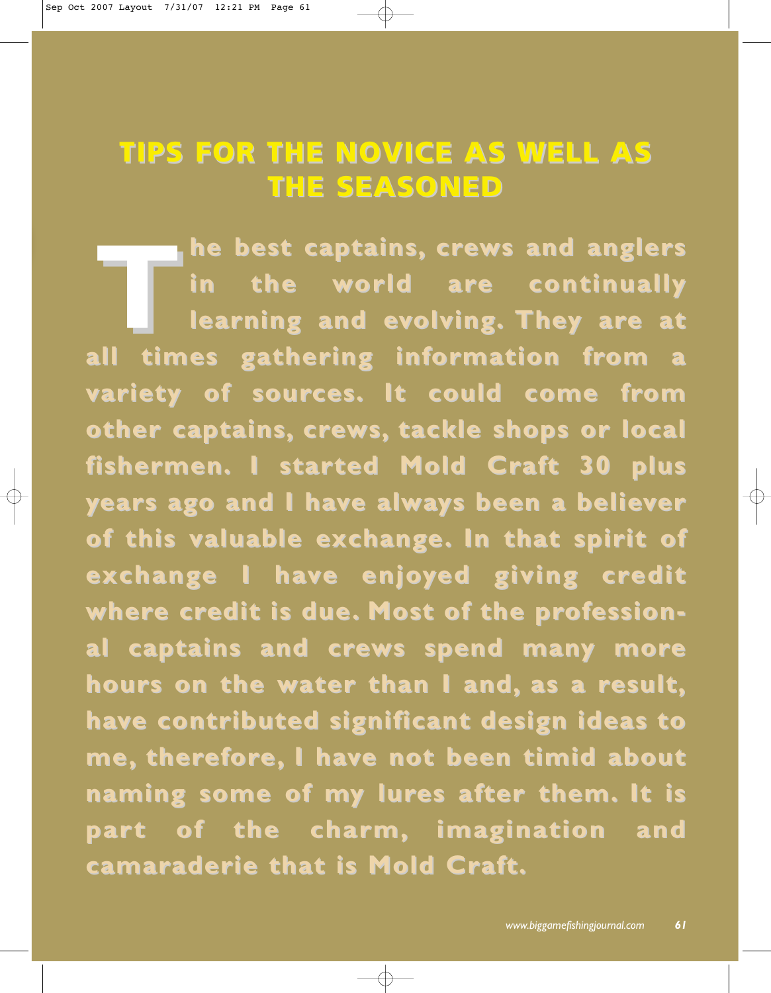## **TIPS FOR THE NOVICE AS WELL AS TIPS FOR THE NOVICE AS WELL AS THE SEASONED THE SEASONED**

The best captains, crews and anglers<br>
in the world are continually<br> **Prope** learning and evolving. They are at in the world are continually **learning and evolving. They are at all times gathering information from a variety of sources. It could come from other captains, crews, tackle shops or local fishermen.** I started Mold Craft 30 plus **years ago and I have always been a believer of this valuab of this valuable exchange. In that spirit of In that spirit of exchange I have enjoyed giving credit** where credit is due. Most of the professional captains and crews spend many more **hours on the water than I and, hours on the water than I and, as a result, have contributed significant design ideas to e contributed significant design ideas to me, therefore, I have not been timid about e not been timid about naming some of my lures after them. It is par t of the charm, t of the charm, imagination and gination and camaraderie that is Mold Craft.**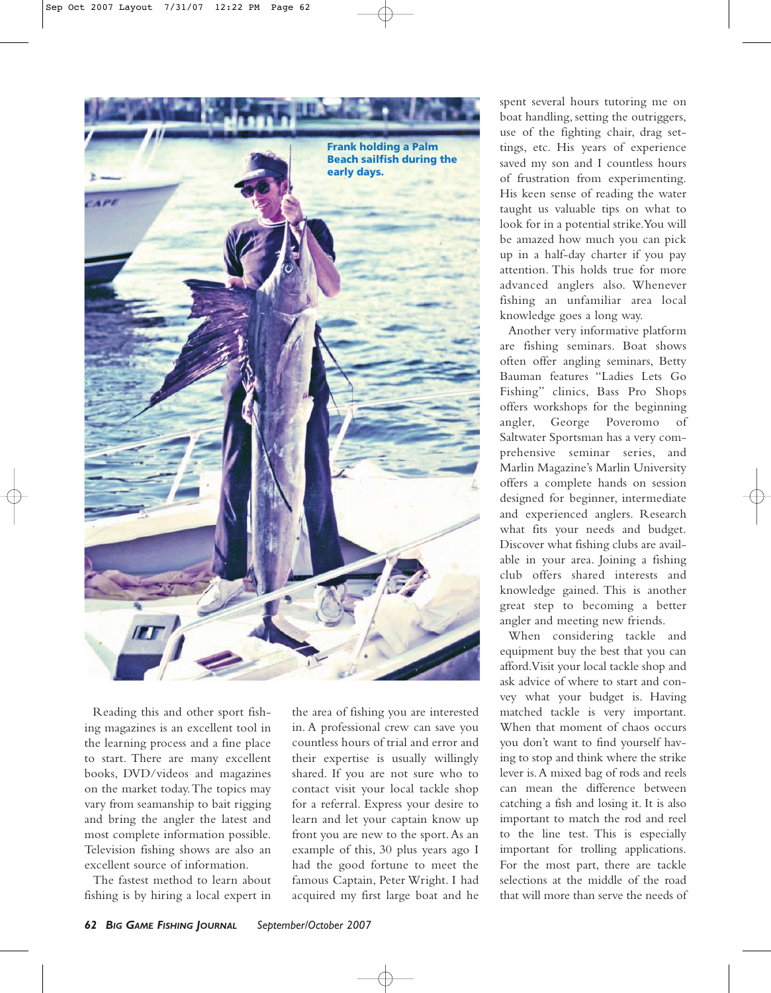

Reading this and other sport fishing magazines is an excellent tool in the learning process and a fine place to start. There are many excellent books, DVD/videos and magazines on the market today.The topics may vary from seamanship to bait rigging and bring the angler the latest and most complete information possible. Television fishing shows are also an excellent source of information.

The fastest method to learn about fishing is by hiring a local expert in

the area of fishing you are interested in. A professional crew can save you countless hours of trial and error and their expertise is usually willingly shared. If you are not sure who to contact visit your local tackle shop for a referral. Express your desire to learn and let your captain know up front you are new to the sport.As an example of this, 30 plus years ago I had the good fortune to meet the famous Captain, Peter Wright. I had acquired my first large boat and he

spent several hours tutoring me on boat handling, setting the outriggers, use of the fighting chair, drag settings, etc. His years of experience saved my son and I countless hours of frustration from experimenting. His keen sense of reading the water taught us valuable tips on what to look for in a potential strike.You will be amazed how much you can pick up in a half-day charter if you pay attention. This holds true for more advanced anglers also. Whenever fishing an unfamiliar area local knowledge goes a long way.

Another very informative platform are fishing seminars. Boat shows often offer angling seminars, Betty Bauman features "Ladies Lets Go Fishing" clinics, Bass Pro Shops offers workshops for the beginning angler, George Poveromo of Saltwater Sportsman has a very comprehensive seminar series, and Marlin Magazine's Marlin University offers a complete hands on session designed for beginner, intermediate and experienced anglers. Research what fits your needs and budget. Discover what fishing clubs are available in your area. Joining a fishing club offers shared interests and knowledge gained. This is another great step to becoming a better angler and meeting new friends.

When considering tackle and equipment buy the best that you can afford.Visit your local tackle shop and ask advice of where to start and convey what your budget is. Having matched tackle is very important. When that moment of chaos occurs you don't want to find yourself having to stop and think where the strike lever is.A mixed bag of rods and reels can mean the difference between catching a fish and losing it. It is also important to match the rod and reel to the line test. This is especially important for trolling applications. For the most part, there are tackle selections at the middle of the road that will more than serve the needs of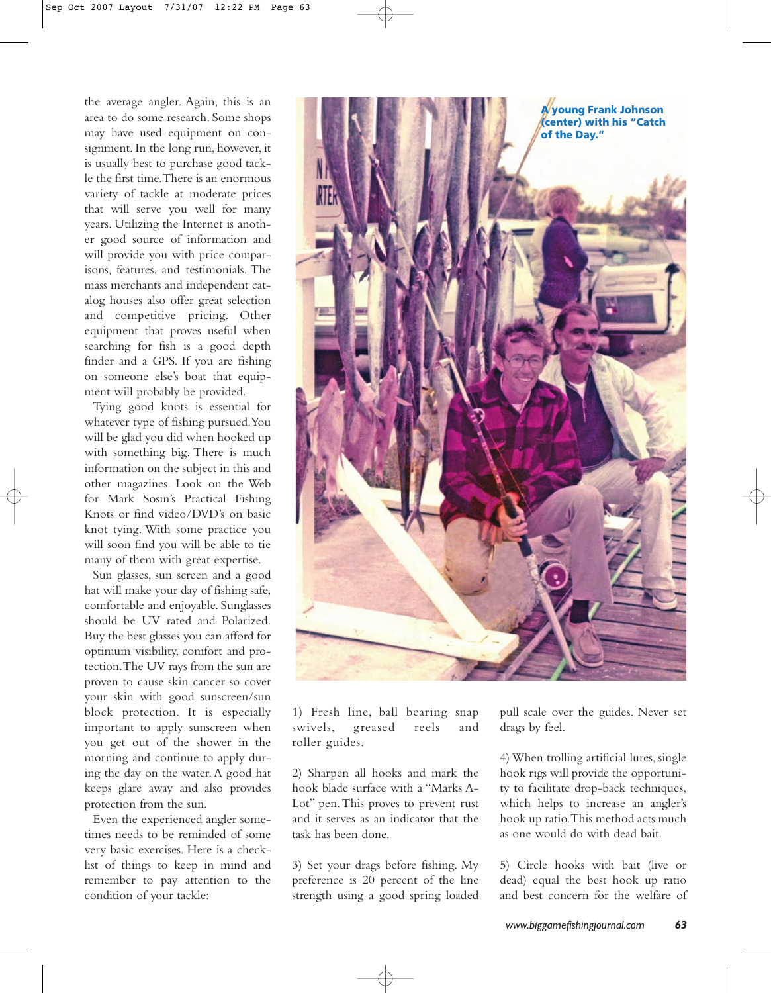the average angler. Again, this is an area to do some research. Some shops may have used equipment on consignment. In the long run, however, it is usually best to purchase good tackle the first time.There is an enormous variety of tackle at moderate prices that will serve you well for many years. Utilizing the Internet is another good source of information and will provide you with price comparisons, features, and testimonials. The mass merchants and independent catalog houses also offer great selection and competitive pricing. Other equipment that proves useful when searching for fish is a good depth finder and a GPS. If you are fishing on someone else's boat that equipment will probably be provided.

Tying good knots is essential for whatever type of fishing pursued.You will be glad you did when hooked up with something big. There is much information on the subject in this and other magazines. Look on the Web for Mark Sosin's Practical Fishing Knots or find video/DVD's on basic knot tying. With some practice you will soon find you will be able to tie many of them with great expertise.

Sun glasses, sun screen and a good hat will make your day of fishing safe, comfortable and enjoyable. Sunglasses should be UV rated and Polarized. Buy the best glasses you can afford for optimum visibility, comfort and protection.The UV rays from the sun are proven to cause skin cancer so cover your skin with good sunscreen/sun block protection. It is especially important to apply sunscreen when you get out of the shower in the morning and continue to apply during the day on the water. A good hat keeps glare away and also provides protection from the sun.

Even the experienced angler sometimes needs to be reminded of some very basic exercises. Here is a checklist of things to keep in mind and remember to pay attention to the condition of your tackle:



1) Fresh line, ball bearing snap swivels, greased reels and roller guides.

2) Sharpen all hooks and mark the hook blade surface with a "Marks A-Lot" pen.This proves to prevent rust and it serves as an indicator that the task has been done.

3) Set your drags before fishing. My preference is 20 percent of the line strength using a good spring loaded pull scale over the guides. Never set drags by feel.

4) When trolling artificial lures, single hook rigs will provide the opportunity to facilitate drop-back techniques, which helps to increase an angler's hook up ratio.This method acts much as one would do with dead bait.

5) Circle hooks with bait (live or dead) equal the best hook up ratio and best concern for the welfare of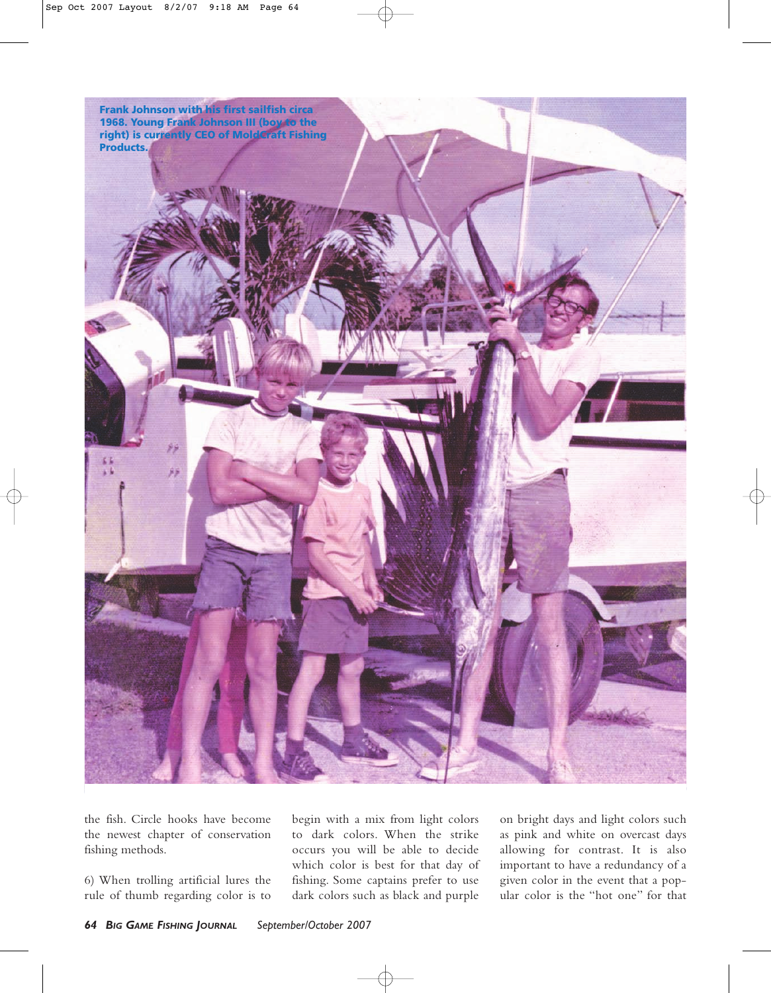**Frank Johnson with his first sailfish circa 1968. Young Frank Johnson III (boy to the right) is currently CEO of MoldCraft Fishing Products.**

the fish. Circle hooks have become the newest chapter of conservation fishing methods.

6) When trolling artificial lures the rule of thumb regarding color is to begin with a mix from light colors to dark colors. When the strike occurs you will be able to decide which color is best for that day of fishing. Some captains prefer to use dark colors such as black and purple

on bright days and light colors such as pink and white on overcast days allowing for contrast. It is also important to have a redundancy of a given color in the event that a popular color is the "hot one" for that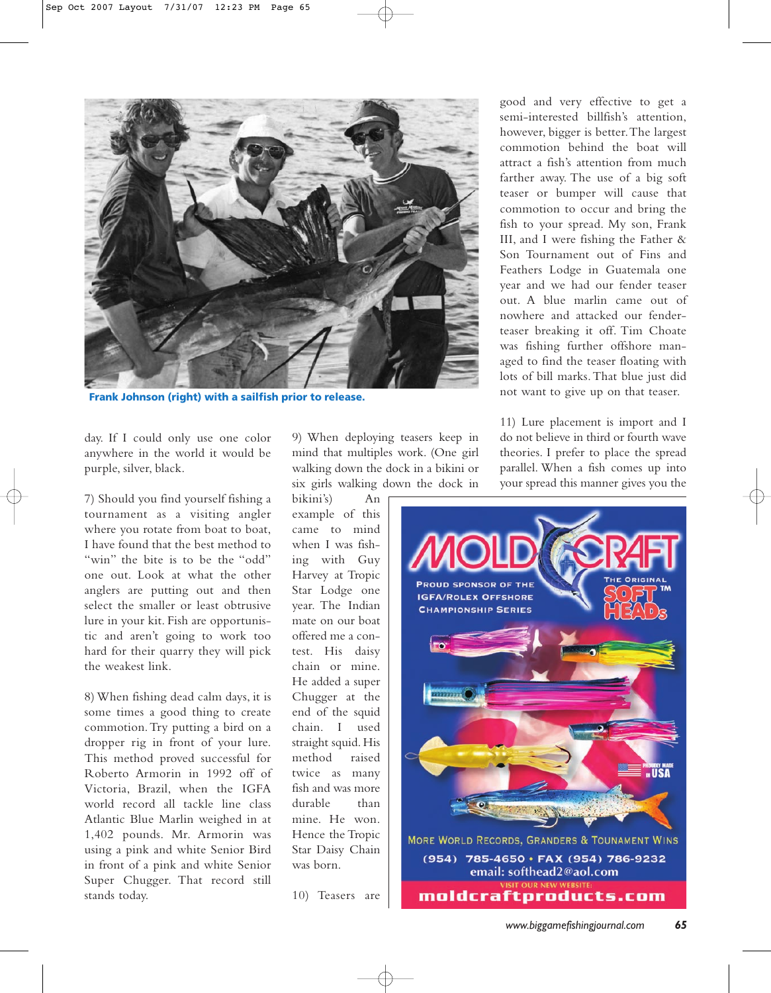

**Frank Johnson (right) with a sailfish prior to release.**

day. If I could only use one color anywhere in the world it would be purple, silver, black.

7) Should you find yourself fishing a tournament as a visiting angler where you rotate from boat to boat, I have found that the best method to "win" the bite is to be the "odd" one out. Look at what the other anglers are putting out and then select the smaller or least obtrusive lure in your kit. Fish are opportunistic and aren't going to work too hard for their quarry they will pick the weakest link.

8) When fishing dead calm days, it is some times a good thing to create commotion.Try putting a bird on a dropper rig in front of your lure. This method proved successful for Roberto Armorin in 1992 off of Victoria, Brazil, when the IGFA world record all tackle line class Atlantic Blue Marlin weighed in at 1,402 pounds. Mr. Armorin was using a pink and white Senior Bird in front of a pink and white Senior Super Chugger. That record still stands today.

9) When deploying teasers keep in mind that multiples work. (One girl walking down the dock in a bikini or six girls walking down the dock in

bikini's) An example of this came to mind when I was fishing with Guy Harvey at Tropic Star Lodge one year. The Indian mate on our boat offered me a contest. His daisy chain or mine. He added a super Chugger at the end of the squid chain. I used straight squid. His method raised twice as many fish and was more durable than mine. He won. Hence the Tropic Star Daisy Chain was born.

10) Teasers are

good and very effective to get a semi-interested billfish's attention, however, bigger is better.The largest commotion behind the boat will attract a fish's attention from much farther away. The use of a big soft teaser or bumper will cause that commotion to occur and bring the fish to your spread. My son, Frank III, and I were fishing the Father & Son Tournament out of Fins and Feathers Lodge in Guatemala one year and we had our fender teaser out. A blue marlin came out of nowhere and attacked our fenderteaser breaking it off. Tim Choate was fishing further offshore managed to find the teaser floating with lots of bill marks.That blue just did not want to give up on that teaser.

11) Lure placement is import and I do not believe in third or fourth wave theories. I prefer to place the spread parallel. When a fish comes up into your spread this manner gives you the

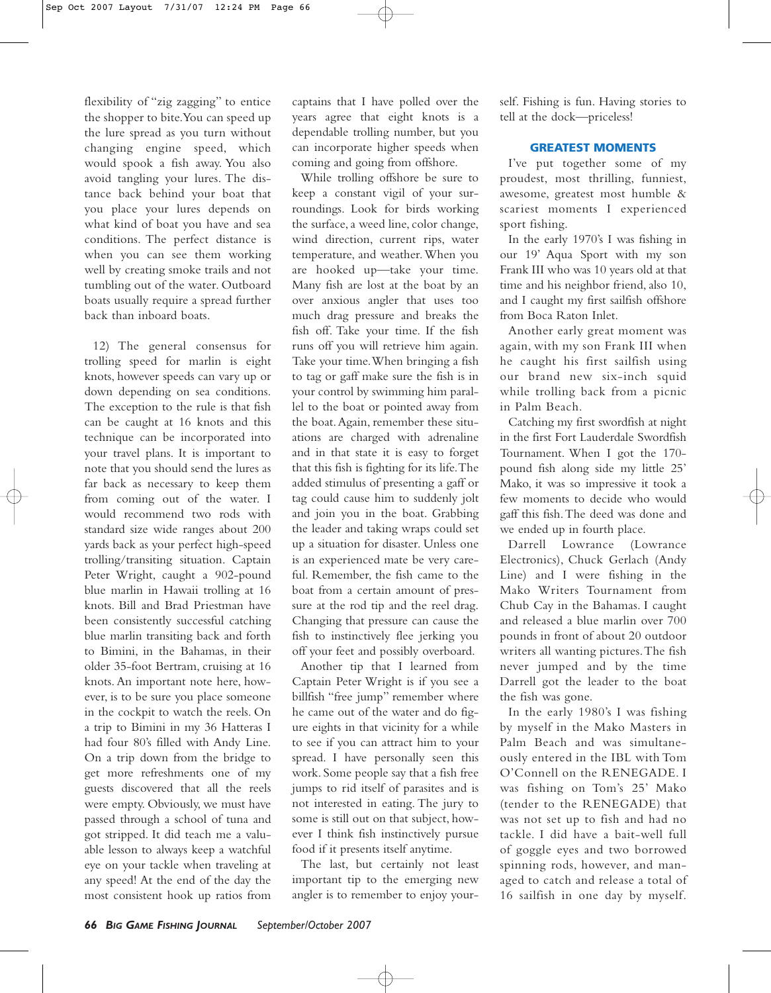flexibility of "zig zagging" to entice the shopper to bite.You can speed up the lure spread as you turn without changing engine speed, which would spook a fish away. You also avoid tangling your lures. The distance back behind your boat that you place your lures depends on what kind of boat you have and sea conditions. The perfect distance is when you can see them working well by creating smoke trails and not tumbling out of the water. Outboard boats usually require a spread further back than inboard boats.

12) The general consensus for trolling speed for marlin is eight knots, however speeds can vary up or down depending on sea conditions. The exception to the rule is that fish can be caught at 16 knots and this technique can be incorporated into your travel plans. It is important to note that you should send the lures as far back as necessary to keep them from coming out of the water. I would recommend two rods with standard size wide ranges about 200 yards back as your perfect high-speed trolling/transiting situation. Captain Peter Wright, caught a 902-pound blue marlin in Hawaii trolling at 16 knots. Bill and Brad Priestman have been consistently successful catching blue marlin transiting back and forth to Bimini, in the Bahamas, in their older 35-foot Bertram, cruising at 16 knots. An important note here, however, is to be sure you place someone in the cockpit to watch the reels. On a trip to Bimini in my 36 Hatteras I had four 80's filled with Andy Line. On a trip down from the bridge to get more refreshments one of my guests discovered that all the reels were empty. Obviously, we must have passed through a school of tuna and got stripped. It did teach me a valuable lesson to always keep a watchful eye on your tackle when traveling at any speed! At the end of the day the most consistent hook up ratios from

captains that I have polled over the years agree that eight knots is a dependable trolling number, but you can incorporate higher speeds when coming and going from offshore.

While trolling offshore be sure to keep a constant vigil of your surroundings. Look for birds working the surface, a weed line, color change, wind direction, current rips, water temperature, and weather.When you are hooked up—take your time. Many fish are lost at the boat by an over anxious angler that uses too much drag pressure and breaks the fish off. Take your time. If the fish runs off you will retrieve him again. Take your time.When bringing a fish to tag or gaff make sure the fish is in your control by swimming him parallel to the boat or pointed away from the boat.Again, remember these situations are charged with adrenaline and in that state it is easy to forget that this fish is fighting for its life.The added stimulus of presenting a gaff or tag could cause him to suddenly jolt and join you in the boat. Grabbing the leader and taking wraps could set up a situation for disaster. Unless one is an experienced mate be very careful. Remember, the fish came to the boat from a certain amount of pressure at the rod tip and the reel drag. Changing that pressure can cause the fish to instinctively flee jerking you off your feet and possibly overboard.

Another tip that I learned from Captain Peter Wright is if you see a billfish "free jump" remember where he came out of the water and do figure eights in that vicinity for a while to see if you can attract him to your spread. I have personally seen this work. Some people say that a fish free jumps to rid itself of parasites and is not interested in eating. The jury to some is still out on that subject, however I think fish instinctively pursue food if it presents itself anytime.

The last, but certainly not least important tip to the emerging new angler is to remember to enjoy yourself. Fishing is fun. Having stories to tell at the dock—priceless!

## **GREATEST MOMENTS**

I've put together some of my proudest, most thrilling, funniest, awesome, greatest most humble & scariest moments I experienced sport fishing.

In the early 1970's I was fishing in our 19' Aqua Sport with my son Frank III who was 10 years old at that time and his neighbor friend, also 10, and I caught my first sailfish offshore from Boca Raton Inlet.

Another early great moment was again, with my son Frank III when he caught his first sailfish using our brand new six-inch squid while trolling back from a picnic in Palm Beach.

Catching my first swordfish at night in the first Fort Lauderdale Swordfish Tournament. When I got the 170 pound fish along side my little 25' Mako, it was so impressive it took a few moments to decide who would gaff this fish.The deed was done and we ended up in fourth place.

Darrell Lowrance (Lowrance Electronics), Chuck Gerlach (Andy Line) and I were fishing in the Mako Writers Tournament from Chub Cay in the Bahamas. I caught and released a blue marlin over 700 pounds in front of about 20 outdoor writers all wanting pictures.The fish never jumped and by the time Darrell got the leader to the boat the fish was gone.

In the early 1980's I was fishing by myself in the Mako Masters in Palm Beach and was simultaneously entered in the IBL with Tom O'Connell on the RENEGADE. I was fishing on Tom's 25' Mako (tender to the RENEGADE) that was not set up to fish and had no tackle. I did have a bait-well full of goggle eyes and two borrowed spinning rods, however, and managed to catch and release a total of 16 sailfish in one day by myself.